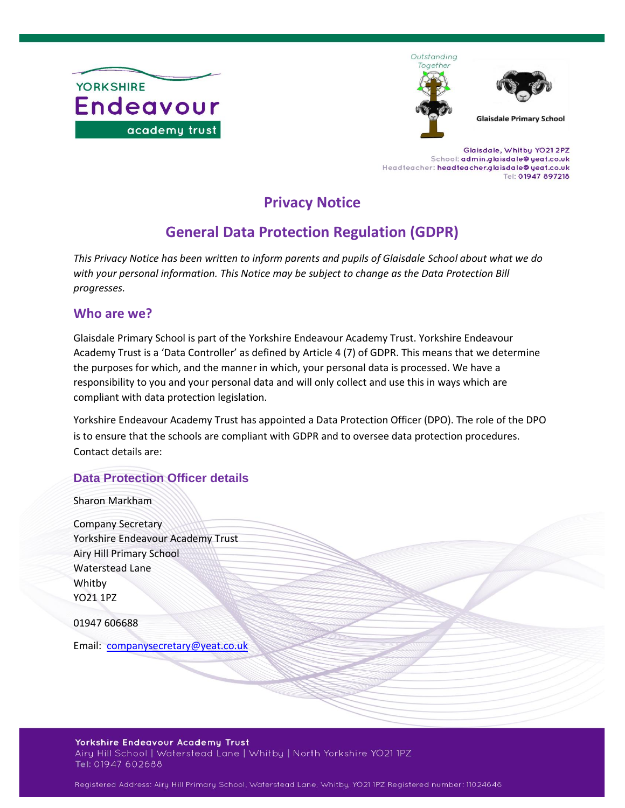

Outstanding Together



**Glaisdale Primary School** 

Glaisdale, Whitby YO21 2PZ School: admin.glaisdale@yeat.co.uk Headteacher: headteacher.glaisdale@yeat.co.uk Tel: 01947 897218

# **Privacy Notice**

# **General Data Protection Regulation (GDPR)**

*This Privacy Notice has been written to inform parents and pupils of Glaisdale School about what we do with your personal information. This Notice may be subject to change as the Data Protection Bill progresses.*

#### **Who are we?**

Glaisdale Primary School is part of the Yorkshire Endeavour Academy Trust. Yorkshire Endeavour Academy Trust is a 'Data Controller' as defined by Article 4 (7) of GDPR. This means that we determine the purposes for which, and the manner in which, your personal data is processed. We have a responsibility to you and your personal data and will only collect and use this in ways which are compliant with data protection legislation.

Yorkshire Endeavour Academy Trust has appointed a Data Protection Officer (DPO). The role of the DPO is to ensure that the schools are compliant with GDPR and to oversee data protection procedures. Contact details are:

# **Data Protection Officer details**

Sharon Markham

| <b>Company Secretary</b>           |
|------------------------------------|
| Yorkshire Endeavour Academy Trust  |
| Airy Hill Primary School           |
| <b>Waterstead Lane</b>             |
| Whitby                             |
| YO21 1PZ                           |
| 01947 606688                       |
| Email: companysecretary@yeat.co.uk |
|                                    |

#### Yorkshire Endeavour Academy Trust Airy Hill School | Waterstead Lane | Whitby | North Yorkshire YO21 1PZ Tel: 01947 602688

Registered Address: Airy Hill Primary School, Waterstead Lane, Whitby, YO21 1PZ Registered number: 11024646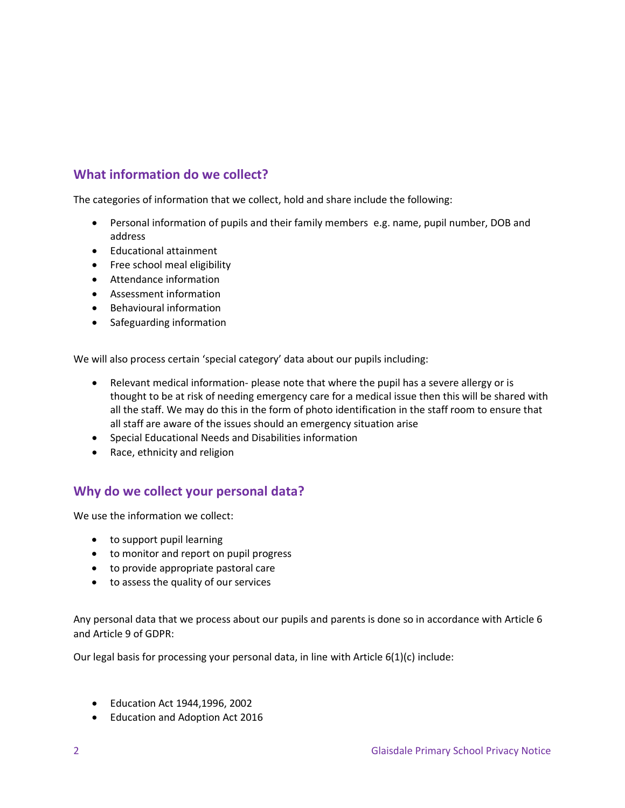# **What information do we collect?**

The categories of information that we collect, hold and share include the following:

- Personal information of pupils and their family members e.g. name, pupil number, DOB and address
- Educational attainment
- Free school meal eligibility
- Attendance information
- Assessment information
- Behavioural information
- Safeguarding information

We will also process certain 'special category' data about our pupils including:

- Relevant medical information- please note that where the pupil has a severe allergy or is thought to be at risk of needing emergency care for a medical issue then this will be shared with all the staff. We may do this in the form of photo identification in the staff room to ensure that all staff are aware of the issues should an emergency situation arise
- Special Educational Needs and Disabilities information
- Race, ethnicity and religion

#### **Why do we collect your personal data?**

We use the information we collect:

- to support pupil learning
- to monitor and report on pupil progress
- to provide appropriate pastoral care
- to assess the quality of our services

Any personal data that we process about our pupils and parents is done so in accordance with Article 6 and Article 9 of GDPR:

Our legal basis for processing your personal data, in line with Article 6(1)(c) include:

- Education Act 1944,1996, 2002
- Education and Adoption Act 2016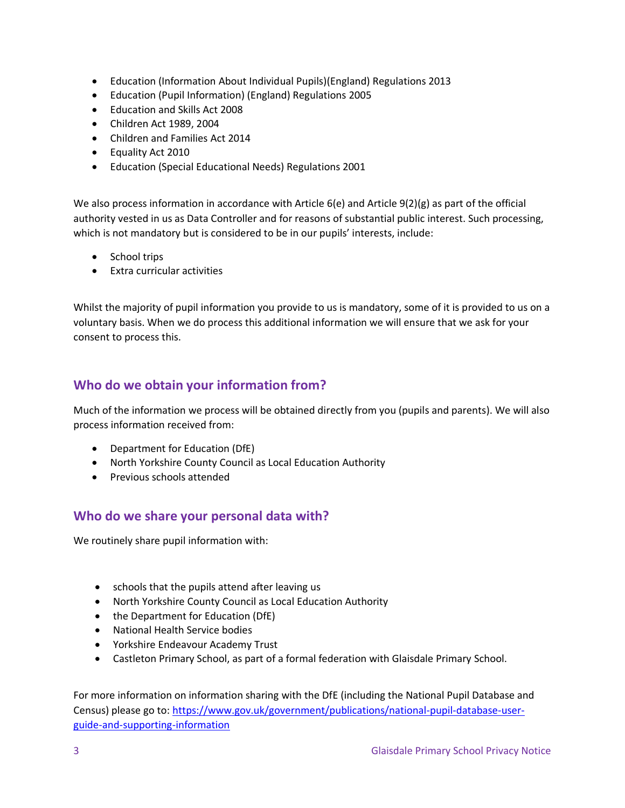- Education (Information About Individual Pupils)(England) Regulations 2013
- Education (Pupil Information) (England) Regulations 2005
- Education and Skills Act 2008
- Children Act 1989, 2004
- Children and Families Act 2014
- Equality Act 2010
- Education (Special Educational Needs) Regulations 2001

We also process information in accordance with Article 6(e) and Article 9(2)(g) as part of the official authority vested in us as Data Controller and for reasons of substantial public interest. Such processing, which is not mandatory but is considered to be in our pupils' interests, include:

- School trips
- Extra curricular activities

Whilst the majority of pupil information you provide to us is mandatory, some of it is provided to us on a voluntary basis. When we do process this additional information we will ensure that we ask for your consent to process this.

## **Who do we obtain your information from?**

Much of the information we process will be obtained directly from you (pupils and parents). We will also process information received from:

- Department for Education (DfE)
- North Yorkshire County Council as Local Education Authority
- Previous schools attended

#### **Who do we share your personal data with?**

We routinely share pupil information with:

- schools that the pupils attend after leaving us
- North Yorkshire County Council as Local Education Authority
- the Department for Education (DfE)
- National Health Service bodies
- Yorkshire Endeavour Academy Trust
- Castleton Primary School, as part of a formal federation with Glaisdale Primary School.

For more information on information sharing with the DfE (including the National Pupil Database and Census) please go to: [https://www.gov.uk/government/publications/national-pupil-database-user](https://www.gov.uk/government/publications/national-pupil-database-user-guide-and-supporting-information)[guide-and-supporting-information](https://www.gov.uk/government/publications/national-pupil-database-user-guide-and-supporting-information)